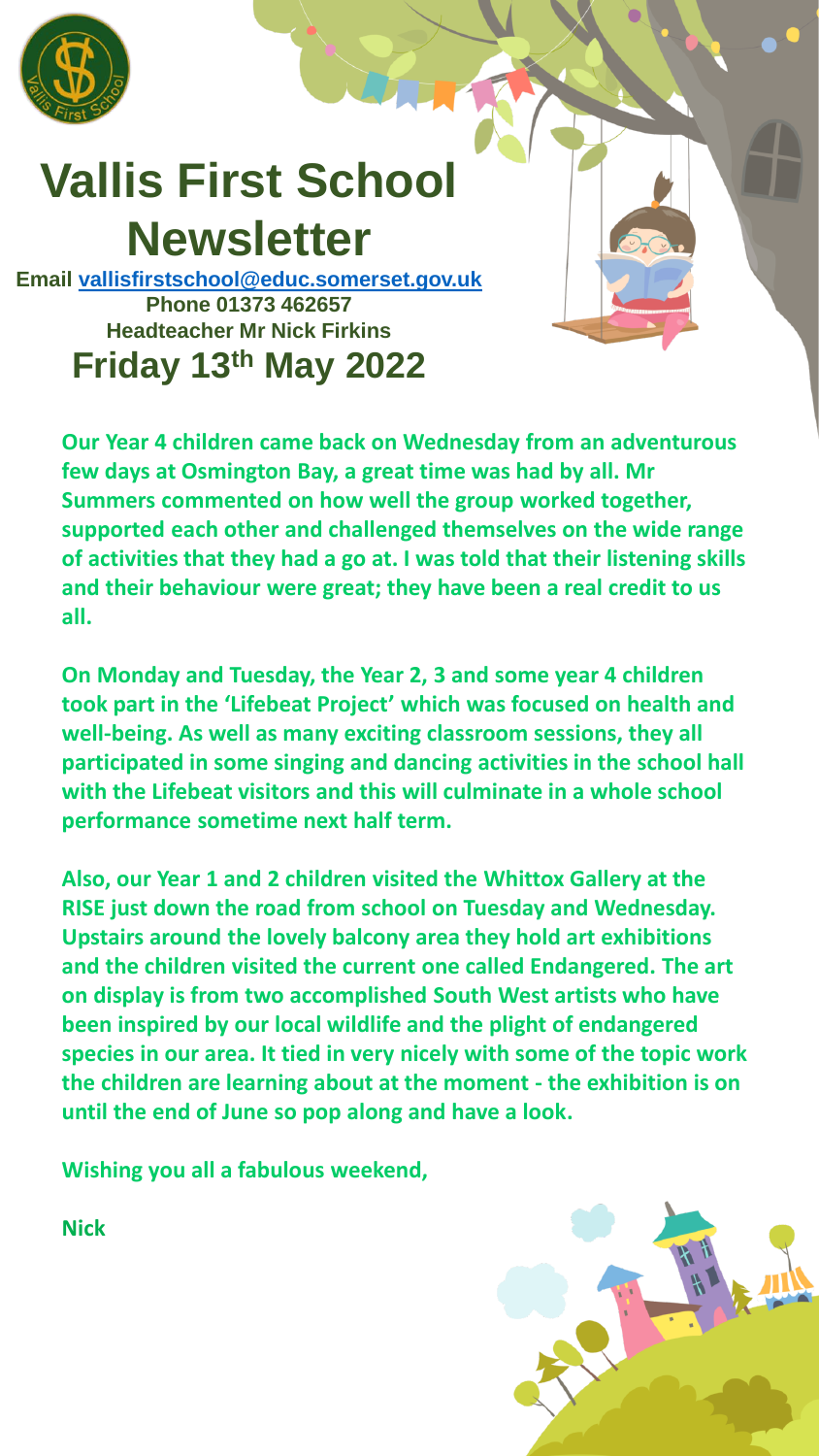

## **Vallis First School Newsletter**

**Email [vallisfirstschool@educ.somerset.gov.uk](mailto:vallisfirstschool@educ.somerset.gov.uk) Phone 01373 462657 Headteacher Mr Nick Firkins Friday 13th May 2022**

**Our Year 4 children came back on Wednesday from an adventurous few days at Osmington Bay, a great time was had by all. Mr Summers commented on how well the group worked together, supported each other and challenged themselves on the wide range of activities that they had a go at. I was told that their listening skills and their behaviour were great; they have been a real credit to us all.**

**On Monday and Tuesday, the Year 2, 3 and some year 4 children took part in the 'Lifebeat Project' which was focused on health and well-being. As well as many exciting classroom sessions, they all participated in some singing and dancing activities in the school hall with the Lifebeat visitors and this will culminate in a whole school performance sometime next half term.**

**Also, our Year 1 and 2 children visited the Whittox Gallery at the RISE just down the road from school on Tuesday and Wednesday. Upstairs around the lovely balcony area they hold art exhibitions and the children visited the current one called Endangered. The art on display is from two accomplished South West artists who have been inspired by our local wildlife and the plight of endangered species in our area. It tied in very nicely with some of the topic work the children are learning about at the moment - the exhibition is on until the end of June so pop along and have a look.**

**Wishing you all a fabulous weekend,**